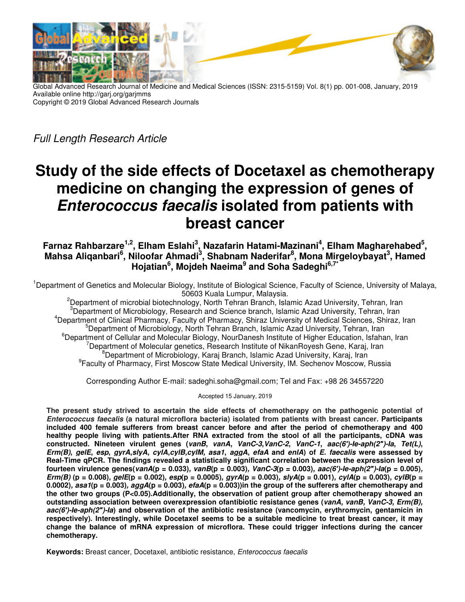

Global Advanced Research Journal of Medicine and Medical Sciences (ISSN: 2315-5159) Vol. 8(1) pp. 001-008, January, 2019 Available online http://garj.org/garjmms Copyright © 2019 Global Advanced Research Journals

Full Length Research Article

# **Study of the side effects of Docetaxel as chemotherapy medicine on changing the expression of genes of Enterococcus faecalis isolated from patients with breast cancer**

Farnaz Rahbarzare<sup>1,2</sup>, Elham Eslahi<sup>3</sup>, Nazafarin Hatami-Mazinani<sup>4</sup>, Elham Magharehabed<sup>5</sup>, **Mahsa Aliqanbari<sup>6</sup> , Niloofar Ahmadi<sup>3</sup> , Shabnam Naderifar<sup>8</sup> , Mona Mirgeloybayat<sup>3</sup> , Hamed Hojatian<sup>6</sup> , Mojdeh Naeima<sup>9</sup> and Soha Sadeghi6,7\***

<sup>1</sup>Department of Genetics and Molecular Biology, Institute of Biological Science, Faculty of Science, University of Malaya, 50603 Kuala Lumpur, Malaysia.

<sup>2</sup>Department of microbial biotechnology, North Tehran Branch, Islamic Azad University, Tehran, Iran Department of Microbiology, Research and Science branch, Islamic Azad University, Tehran, Iran Department of Clinical Pharmacy, Faculty of Pharmacy, Shiraz University of Medical Sciences, Shiraz, Iran Department of Microbiology, North Tehran Branch, Islamic Azad University, Tehran, Iran  ${}^{6}$ Department of Cellular and Molecular Biology, NourDanesh Institute of Higher Education, Isfahan, Iran Department of Molecular genetics, Research Institute of NikanRoyesh Gene, Karaj, Iran Department of Microbiology, Karaj Branch, Islamic Azad University, Karaj, Iran Faculty of Pharmacy, First Moscow State Medical University, IM. Sechenov Moscow, Russia

Corresponding Author E-mail: sadeghi.soha@gmail.com; Tel and Fax: +98 26 34557220

Accepted 15 January, 2019

**The present study strived to ascertain the side effects of chemotherapy on the pathogenic potential of Enterococcus faecalis (a natural microflora bacteria) isolated from patients with breast cancer. Participants included 400 female sufferers from breast cancer before and after the period of chemotherapy and 400 healthy people living with patients.After RNA extracted from the stool of all the participants, cDNA was**  constructed. Nineteen virulent genes (vanB, vanA, VanC-3, VanC-2, VanC-1, aac(6')-le-aph(2")-la, Tet(L),  $Erm(B)$ , geIE, esp, gyrA,slyA, cylA,cylB,cylM, asa1, aggA, efaA and enIA) of E. faecalis were assessed by **Real-Time qPCR. The findings revealed a statistically significant correlation between the expression level of fourteen virulence genes(vanA(p = 0.033), vanB(p = 0.003), VanC-3(p = 0.003), aac(6***′***)-Ie-aph(2***″***)-Ia(p = 0.005), Erm(B)** ( $p = 0.008$ ), geIE( $p = 0.002$ ), esp( $p = 0.0005$ ), gyrA( $p = 0.003$ ), slyA( $p = 0.001$ ), cylA( $p = 0.003$ ), cylB( $p = 0.004$ ) **0.0002), asa1(p = 0.003), aggA(p = 0.003), efaA(p = 0.003))in the group of the sufferers after chemotherapy and the other two groups (P<0.05).Additionally, the observation of patient group after chemotherapy showed an outstanding association between overexpression ofantibiotic resistance genes (vanA, vanB, VanC-3, Erm(B), aac(6***′***)-Ie-aph(2***″***)-Ia) and observation of the antibiotic resistance (vancomycin, erythromycin, gentamicin in respectively). Interestingly, while Docetaxel seems to be a suitable medicine to treat breast cancer, it may change the balance of mRNA expression of microflora. These could trigger infections during the cancer chemotherapy.**

**Keywords:** Breast cancer, Docetaxel, antibiotic resistance, Enterococcus faecalis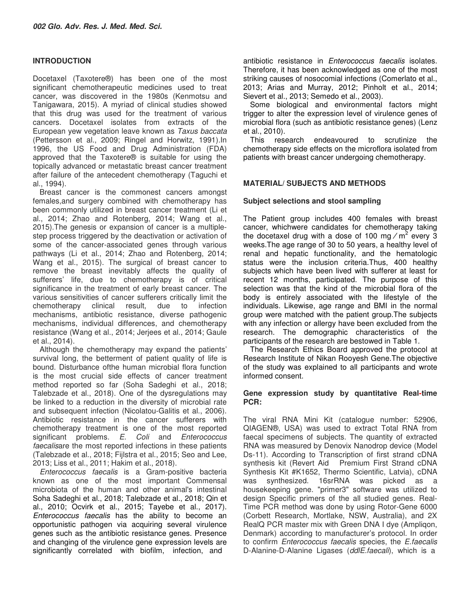# **INTRODUCTION**

Docetaxel (Taxotere®) has been one of the most significant chemotherapeutic medicines used to treat cancer, was discovered in the 1980s (Kenmotsu and Tanigawara, 2015). A myriad of clinical studies showed that this drug was used for the treatment of various cancers. Docetaxel isolates from extracts of the European yew vegetation leave known as Taxus baccata (Pettersson et al., 2009; Ringel and Horwitz, 1991).In 1996, the US Food and Drug Administration (FDA) approved that the Taxotere® is suitable for using the topically advanced or metastatic breast cancer treatment after failure of the antecedent chemotherapy (Taguchi et al., 1994).

Breast cancer is the commonest cancers amongst females,and surgery combined with chemotherapy has been commonly utilized in breast cancer treatment (Li et al., 2014; Zhao and Rotenberg, 2014; Wang et al., 2015).The genesis or expansion of cancer is a multiplestep process triggered by the deactivation or activation of some of the cancer-associated genes through various pathways (Li et al., 2014; Zhao and Rotenberg, 2014; Wang et al., 2015). The surgical of breast cancer to remove the breast inevitably affects the quality of sufferers' life, due to chemotherapy is of critical significance in the treatment of early breast cancer. The various sensitivities of cancer sufferers critically limit the chemotherapy clinical result, due to infection chemotherapy clinical result, due to infection mechanisms, antibiotic resistance, diverse pathogenic mechanisms, individual differences, and chemotherapy resistance (Wang et al., 2014; Jerjees et al., 2014; Gaule et al., 2014).

Although the chemotherapy may expand the patients' survival long, the betterment of patient quality of life is bound. Disturbance ofthe human microbial flora function is the most crucial side effects of cancer treatment method reported so far (Soha Sadeghi et al., 2018; Talebzade et al., 2018). One of the dysregulations may be linked to a reduction in the diversity of microbial rate and subsequent infection (Nicolatou-Galitis et al., 2006). Antibiotic resistance in the cancer sufferers with chemotherapy treatment is one of the most reported significant problems. E. Coli and Enterococcus faecalisare the most reported infections in these patients (Talebzade et al., 2018; Fijlstra et al., 2015; Seo and Lee, 2013; Liss et al., 2011; Hakim et al., 2018).

Enterococcus faecalis is a Gram-positive bacteria known as one of the most important Commensal microbiota of the human and other animal's intestinal Soha Sadeghi et al., 2018; Talebzade et al., 2018; Qin et al., 2010; Ocvirk et al., 2015; Tayebe et al., 2017). Enterococcus faecalis has the ability to become an opportunistic pathogen via acquiring several virulence genes such as the antibiotic resistance genes. Presence and changing of the virulence gene expression levels are significantly correlated with biofilm, infection, and

antibiotic resistance in Enterococcus faecalis isolates. Therefore, it has been acknowledged as one of the most striking causes of nosocomial infections (Comerlato et al., 2013; Arias and Murray, 2012; Pinholt et al., 2014; Sievert et al., 2013; Semedo et al., 2003).

Some biological and environmental factors might trigger to alter the expression level of virulence genes of microbial flora (such as antibiotic resistance genes) (Lenz et al., 2010).

This research endeavoured to scrutinize the chemotherapy side effects on the microflora isolated from patients with breast cancer undergoing chemotherapy.

# **MATERIAL/ SUBJECTS AND METHODS**

# **Subject selections and stool sampling**

The Patient group includes 400 females with breast cancer, whichwere candidates for chemotherapy taking the docetaxel drug with a dose of 100 mg  $/m^2$  every 3 weeks.The age range of 30 to 50 years, a healthy level of renal and hepatic functionality, and the hematologic status were the inclusion criteria.Thus, 400 healthy subjects which have been lived with sufferer at least for recent 12 months, participated. The purpose of this selection was that the kind of the microbial flora of the body is entirely associated with the lifestyle of the individuals. Likewise, age range and BMI in the normal group were matched with the patient group.The subjects with any infection or allergy have been excluded from the research. The demographic characteristics of the participants of the research are bestowed in Table 1.

The Research Ethics Board approved the protocol at Research Institute of Nikan Rooyesh Gene.The objective of the study was explained to all participants and wrote informed consent.

# **Gene expression study by quantitative Real-time PCR:**

The viral RNA Mini Kit (catalogue number: 52906, QIAGEN®, USA) was used to extract Total RNA from faecal specimens of subjects. The quantity of extracted RNA was measured by Denovix Nanodrop device (Model Ds-11). According to Transcription of first strand cDNA synthesis kit (Revert Aid Premium First Strand cDNA Synthesis Kit #K1652, Thermo Scientific, Latvia), cDNA was synthesized. 16srRNA was picked as a housekeeping gene. "primer3" software was utilized to design Specific primers of the all studied genes. Real-Time PCR method was done by using Rotor-Gene 6000 (Corbett Research, Mortlake, NSW, Australia), and 2X RealQ PCR master mix with Green DNA I dye (Ampliqon, Denmark) according to manufacturer's protocol. In order to confirm Enterococcus faecalis species, the E.faecalis D-Alanine-D-Alanine Ligases (ddlE.faecali), which is a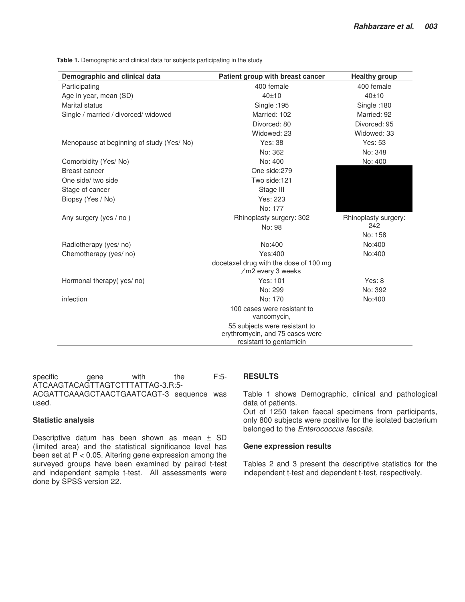**Table 1.** Demographic and clinical data for subjects participating in the study

| Demographic and clinical data            | Patient group with breast cancer                                                            | <b>Healthy group</b> |
|------------------------------------------|---------------------------------------------------------------------------------------------|----------------------|
| Participating                            | 400 female                                                                                  | 400 female           |
| Age in year, mean (SD)                   | 40±10                                                                                       | 40±10                |
| <b>Marital status</b>                    | Single :195                                                                                 | Single: 180          |
| Single / married / divorced/ widowed     | Married: 102                                                                                | Married: 92          |
|                                          | Divorced: 80                                                                                | Divorced: 95         |
|                                          | Widowed: 23                                                                                 | Widowed: 33          |
| Menopause at beginning of study (Yes/No) | <b>Yes: 38</b>                                                                              | Yes: 53              |
|                                          | No: 362                                                                                     | No: 348              |
| Comorbidity (Yes/No)                     | No: 400                                                                                     | No: 400              |
| Breast cancer                            | One side:279                                                                                |                      |
| One side/ two side                       | Two side:121                                                                                |                      |
| Stage of cancer                          | Stage III                                                                                   |                      |
| Biopsy (Yes / No)                        | Yes: 223                                                                                    |                      |
|                                          | No: 177                                                                                     |                      |
| Any surgery (yes / no)                   | Rhinoplasty surgery: 302                                                                    | Rhinoplasty surgery: |
|                                          | No: 98                                                                                      | 242                  |
|                                          |                                                                                             | No: 158              |
| Radiotherapy (yes/no)                    | No:400                                                                                      | No:400               |
| Chemotherapy (yes/ no)                   | Yes:400                                                                                     | No:400               |
|                                          | docetaxel drug with the dose of 100 mg<br>/m2 every 3 weeks                                 |                      |
| Hormonal therapy (yes/no)                | Yes: 101                                                                                    | Yes: 8               |
|                                          | No: 299                                                                                     | No: 392              |
| infection                                | No: 170                                                                                     | No:400               |
|                                          | 100 cases were resistant to<br>vancomycin,                                                  |                      |
|                                          | 55 subjects were resistant to<br>erythromycin, and 75 cases were<br>resistant to gentamicin |                      |

specific gene with the F:5-ATCAAGTACAGTTAGTCTTTATTAG-3.R:5- ACGATTCAAAGCTAACTGAATCAGT-3 sequence was used.

# **Statistic analysis**

Descriptive datum has been shown as mean ± SD (limited area) and the statistical significance level has been set at P < 0.05. Altering gene expression among the surveyed groups have been examined by paired t-test and independent sample t-test. All assessments were done by SPSS version 22.

# **RESULTS**

Table 1 shows Demographic, clinical and pathological data of patients.

Out of 1250 taken faecal specimens from participants, only 800 subjects were positive for the isolated bacterium belonged to the Enterococcus faecalis.

### **Gene expression results**

Tables 2 and 3 present the descriptive statistics for the independent t-test and dependent t-test, respectively.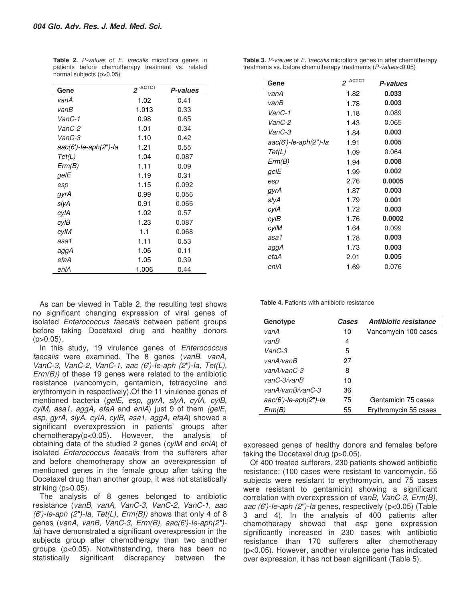| Gene                         | $2 - \triangle CTCT$ | P-values |  |
|------------------------------|----------------------|----------|--|
| vanA                         | 1.02                 | 0.41     |  |
| vanB                         | 1.013                | 0.33     |  |
| VanC-1                       | 0.98                 | 0.65     |  |
| VanC-2                       | 1.01                 | 0.34     |  |
| VanC-3                       | 1.10                 | 0.42     |  |
| $aac(6')$ -le-aph $(2")$ -la | 1.21                 | 0.55     |  |
| Tet(L)                       | 1.04                 | 0.087    |  |
| Erm(B)                       | 1.11                 | 0.09     |  |
| gelE                         | 1.19                 | 0.31     |  |
| esp                          | 1.15                 | 0.092    |  |
| gyrA                         | 0.99                 | 0.056    |  |
| slyA                         | 0.91                 | 0.066    |  |
| cylA                         | 1.02                 | 0.57     |  |
| cylB                         | 1.23                 | 0.087    |  |
| cylM                         | 1.1                  | 0.068    |  |
| asa1                         | 1.11                 | 0.53     |  |
| aggA                         | 1.06                 | 0.11     |  |
| efaA                         | 1.05                 | 0.39     |  |
| enlA                         | 1.006                | 0.44     |  |

**Table 2.** P-values of E. faecalis microflora genes in patients before chemotherapy treatment vs. related normal subjects (p>0.05)

As can be viewed in Table 2, the resulting test shows no significant changing expression of viral genes of isolated Enterococcus faecalis between patient groups before taking Docetaxel drug and healthy donors  $(p>0.05)$ .

In this study, 19 virulence genes of *Enterococcus* faecalis were examined. The 8 genes (vanB, vanA, VanC-3, VanC-2, VanC-1, aac (6*′*)-Ie-aph (2*″*)-Ia, Tet(L),  $Erm(B)$ ) of these 19 genes were related to the antibiotic resistance (vancomycin, gentamicin, tetracycline and erythromycin in respectively).Of the 11 virulence genes of mentioned bacteria (gelE, esp, gyrA, slyA, cylA, cylB, cylM, asa1, aggA, efaA and enlA) just 9 of them (gelE, esp, gyrA, slyA, cylA, cylB, asa1, aggA, efaA) showed a significant overexpression in patients' groups after chemotherapy(p<0.05). However, the analysis of obtaining data of the studied 2 genes (cylM and enlA) of isolated Enterococcus feacalis from the sufferers after and before chemotherapy show an overexpression of mentioned genes in the female group after taking the Docetaxel drug than another group, it was not statistically striking  $(p>0.05)$ .

The analysis of 8 genes belonged to antibiotic resistance (vanB, vanA, VanC-3, VanC-2, VanC-1, aac (6*′*)-Ie-aph (2*″*)-Ia, Tet(L), Erm(B)) shows that only 4 of 8 genes (vanA, vanB, VanC-3, Erm(B), aac(6*′*)-Ie-aph(2*″*)- Ia) have demonstrated a significant overexpression in the subjects group after chemotherapy than two another groups (p<0.05). Notwithstanding, there has been no statistically significant discrepancy between the

| Gene                  | $2$ - $\triangle$ CTCT | P-values |
|-----------------------|------------------------|----------|
| vanA                  | 1.82                   | 0.033    |
| vanB                  | 1.78                   | 0.003    |
| VanC-1                | 1.18                   | 0.089    |
| VanC-2                | 1.43                   | 0.065    |
| VanC-3                | 1.84                   | 0.003    |
| aac(6')-le-aph(2")-la | 1.91                   | 0.005    |
| Tet(L)                | 1.09                   | 0.064    |
| Erm(B)                | 1.94                   | 0.008    |
| gelE                  | 1.99                   | 0.002    |
| esp                   | 2.76                   | 0.0005   |
| gyrA                  | 1.87                   | 0.003    |
| slyA                  | 1.79                   | 0.001    |
| cylA                  | 1.72                   | 0.003    |
| cylB                  | 1.76                   | 0.0002   |
| cylM                  | 1.64                   | 0.099    |
| asa1                  | 1.78                   | 0.003    |
| aggA                  | 1.73                   | 0.003    |
| efaA                  | 2.01                   | 0.005    |
| enlA                  | 1.69                   | 0.076    |

**Table 3.** P-values of E. faecalis microflora genes in after chemotherapy treatments vs. before chemotherapy treatments (P-values<0.05)

**Table 4.** Patients with antibiotic resistance

| Genotype                     | Cases | Antibiotic resistance |
|------------------------------|-------|-----------------------|
| vanA                         | 10    | Vancomycin 100 cases  |
| vanB                         | 4     |                       |
| VanC-3                       | 5     |                       |
| vanA/vanB                    | 27    |                       |
| vanA/vanC-3                  | 8     |                       |
| vanC-3/vanB                  | 10    |                       |
| vanA/vanB/vanC-3             | 36    |                       |
| $aac(6')$ -le-aph $(2")$ -la | 75    | Gentamicin 75 cases   |
| Erm(B)                       | 55    | Erythromycin 55 cases |
|                              |       |                       |

expressed genes of healthy donors and females before taking the Docetaxel drug (p>0.05).

Of 400 treated sufferers, 230 patients showed antibiotic resistance: (100 cases were resistant to vancomycin, 55 subjects were resistant to erythromycin, and 75 cases were resistant to gentamicin) showing a significant correlation with overexpression of vanB, VanC-3, Erm(B), aac (6*′*)-Ie-aph (2*″*)-Ia genes, respectively (p<0.05) (Table 3 and 4). In the analysis of 400 patients after chemotherapy showed that esp gene expression significantly increased in 230 cases with antibiotic resistance than 170 sufferers after chemotherapy (p<0.05). However, another virulence gene has indicated over expression, it has not been significant (Table 5).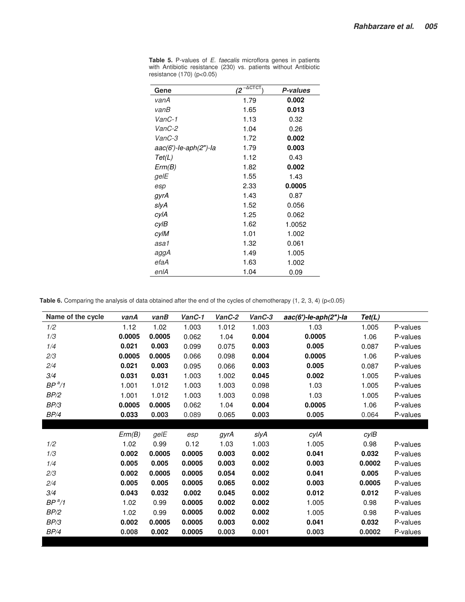| Gene                  | $(2^{-\Delta \text{CTCT}})$ | P-values |
|-----------------------|-----------------------------|----------|
| vanA                  | 1.79                        | 0.002    |
| vanB                  | 1.65                        | 0.013    |
| VanC-1                | 1.13                        | 0.32     |
| VanC-2                | 1.04                        | 0.26     |
| VanC-3                | 1.72                        | 0.002    |
| aac(6')-le-aph(2")-la | 1.79                        | 0.003    |
| Tet(L)                | 1.12                        | 0.43     |
| Erm(B)                | 1.82                        | 0.002    |
| gelE                  | 1.55                        | 1.43     |
| esp                   | 2.33                        | 0.0005   |
| gyrA                  | 1.43                        | 0.87     |
| slyA                  | 1.52                        | 0.056    |
| cylA                  | 1.25                        | 0.062    |
| cylB                  | 1.62                        | 1.0052   |
| cylM                  | 1.01                        | 1.002    |
| asa1                  | 1.32                        | 0.061    |
| aggA                  | 1.49                        | 1.005    |
| efaA                  | 1.63                        | 1.002    |
| enlA                  | 1.04                        | 0.09     |

**Table 5.** P-values of E. faecalis microflora genes in patients with Antibiotic resistance (230) vs. patients without Antibiotic resistance (170) (p<0.05)

**Table 6.** Comparing the analysis of data obtained after the end of the cycles of chemotherapy (1, 2, 3, 4) (p<0.05)

| Name of the cycle  | vanA   | vanB   | VanC-1 | VanC-2 | VanC-3 | $aac(6')$ -le-aph $(2")$ -la | Tet(L) |          |
|--------------------|--------|--------|--------|--------|--------|------------------------------|--------|----------|
| 1/2                | 1.12   | 1.02   | 1.003  | 1.012  | 1.003  | 1.03                         | 1.005  | P-values |
| 1/3                | 0.0005 | 0.0005 | 0.062  | 1.04   | 0.004  | 0.0005                       | 1.06   | P-values |
| 1/4                | 0.021  | 0.003  | 0.099  | 0.075  | 0.003  | 0.005                        | 0.087  | P-values |
| 2/3                | 0.0005 | 0.0005 | 0.066  | 0.098  | 0.004  | 0.0005                       | 1.06   | P-values |
| 2/4                | 0.021  | 0.003  | 0.095  | 0.066  | 0.003  | 0.005                        | 0.087  | P-values |
| 3/4                | 0.031  | 0.031  | 1.003  | 1.002  | 0.045  | 0.002                        | 1.005  | P-values |
| BP <sup>a</sup> /1 | 1.001  | 1.012  | 1.003  | 1.003  | 0.098  | 1.03                         | 1.005  | P-values |
| BP/2               | 1.001  | 1.012  | 1.003  | 1.003  | 0.098  | 1.03                         | 1.005  | P-values |
| BP/3               | 0.0005 | 0.0005 | 0.062  | 1.04   | 0.004  | 0.0005                       | 1.06   | P-values |
| BP/4               | 0.033  | 0.003  | 0.089  | 0.065  | 0.003  | 0.005                        | 0.064  | P-values |
|                    |        |        |        |        |        |                              |        |          |
|                    | Erm(B) | gelE   | esp    | gyrA   | slyA   | cylA                         | cylB   |          |
| 1/2                | 1.02   | 0.99   | 0.12   | 1.03   | 1.003  | 1.005                        | 0.98   | P-values |
| 1/3                | 0.002  | 0.0005 | 0.0005 | 0.003  | 0.002  | 0.041                        | 0.032  | P-values |
| 1/4                | 0.005  | 0.005  | 0.0005 | 0.003  | 0.002  | 0.003                        | 0.0002 | P-values |
| 2/3                | 0.002  | 0.0005 | 0.0005 | 0.054  | 0.002  | 0.041                        | 0.005  | P-values |
| 2/4                | 0.005  | 0.005  | 0.0005 | 0.065  | 0.002  | 0.003                        | 0.0005 | P-values |
| 3/4                | 0.043  | 0.032  | 0.002  | 0.045  | 0.002  | 0.012                        | 0.012  | P-values |
| $BP^a/1$           | 1.02   | 0.99   | 0.0005 | 0.002  | 0.002  | 1.005                        | 0.98   | P-values |
| BP/2               | 1.02   | 0.99   | 0.0005 | 0.002  | 0.002  | 1.005                        | 0.98   | P-values |
| BP/3               | 0.002  | 0.0005 | 0.0005 | 0.003  | 0.002  | 0.041                        | 0.032  | P-values |
| BP/4               | 0.008  | 0.002  | 0.0005 | 0.003  | 0.001  | 0.003                        | 0.0002 | P-values |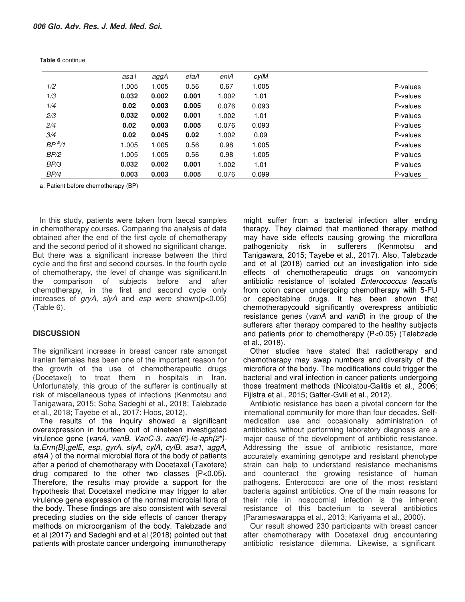|          | asa1  | aggA  | efaA  | enlA  | cylM  |          |
|----------|-------|-------|-------|-------|-------|----------|
| 1/2      | 1.005 | 1.005 | 0.56  | 0.67  | 1.005 | P-values |
| 1/3      | 0.032 | 0.002 | 0.001 | 1.002 | 1.01  | P-values |
| 1/4      | 0.02  | 0.003 | 0.005 | 0.076 | 0.093 | P-values |
| 2/3      | 0.032 | 0.002 | 0.001 | 1.002 | 1.01  | P-values |
| 2/4      | 0.02  | 0.003 | 0.005 | 0.076 | 0.093 | P-values |
| 3/4      | 0.02  | 0.045 | 0.02  | 1.002 | 0.09  | P-values |
| $BP^a/1$ | 1.005 | 1.005 | 0.56  | 0.98  | 1.005 | P-values |
| BP/2     | 1.005 | 1.005 | 0.56  | 0.98  | 1.005 | P-values |
| BP/3     | 0.032 | 0.002 | 0.001 | 1.002 | 1.01  | P-values |
| BP/4     | 0.003 | 0.003 | 0.005 | 0.076 | 0.099 | P-values |

**Table 6** continue

a: Patient before chemotherapy (BP)

In this study, patients were taken from faecal samples in chemotherapy courses. Comparing the analysis of data obtained after the end of the first cycle of chemotherapy and the second period of it showed no significant change. But there was a significant increase between the third cycle and the first and second courses. In the fourth cycle of chemotherapy, the level of change was significant.In the comparison of subjects before and after chemotherapy, in the first and second cycle only increases of  $gryA$ ,  $s/yA$  and esp were shown( $p<0.05$ ) (Table 6).

### **DISCUSSION**

The significant increase in breast cancer rate amongst Iranian females has been one of the important reason for the growth of the use of chemotherapeutic drugs (Docetaxel) to treat them in hospitals in Iran. Unfortunately, this group of the sufferer is continually at risk of miscellaneous types of infections (Kenmotsu and Tanigawara, 2015; Soha Sadeghi et al., 2018; Talebzade et al., 2018; Tayebe et al., 2017; Hoos, 2012).

The results of the inquiry showed a significant overexpression in fourteen out of nineteen investigated virulence gene (vanA, vanB, VanC-3, aac(6*′*)-Ie-aph(2*″*)- Ia,Erm(B),gelE, esp, gyrA, slyA, cylA, cylB, asa1, aggA, efaA ) of the normal microbial flora of the body of patients after a period of chemotherapy with Docetaxel (Taxotere) drug compared to the other two classes (P<0.05). Therefore, the results may provide a support for the hypothesis that Docetaxel medicine may trigger to alter virulence gene expression of the normal microbial flora of the body. These findings are also consistent with several preceding studies on the side effects of cancer therapy methods on microorganism of the body. Talebzade and et al (2017) and Sadeghi and et al (2018) pointed out that patients with prostate cancer undergoing immunotherapy

might suffer from a bacterial infection after ending therapy. They claimed that mentioned therapy method may have side effects causing growing the microflora pathogenicity risk in sufferers (Kenmotsu and Tanigawara, 2015; Tayebe et al., 2017). Also, Talebzade and et al (2018) carried out an investigation into side effects of chemotherapeutic drugs on vancomycin antibiotic resistance of isolated Enterococcus feacalis from colon cancer undergoing chemotherapy with 5-FU or capecitabine drugs. It has been shown that chemotherapycould significantly overexpress antibiotic resistance genes (vanA and vanB) in the group of the sufferers after therapy compared to the healthy subjects and patients prior to chemotherapy (P<0.05) (Talebzade et al., 2018).

Other studies have stated that radiotherapy and chemotherapy may swap numbers and diversity of the microflora of the body. The modifications could trigger the bacterial and viral infection in cancer patients undergoing those treatment methods (Nicolatou-Galitis et al., 2006; Fijlstra et al., 2015; Gafter-Gvili et al., 2012).

Antibiotic resistance has been a pivotal concern for the international community for more than four decades. Selfmedication use and occasionally administration of antibiotics without performing laboratory diagnosis are a major cause of the development of antibiotic resistance. Addressing the issue of antibiotic resistance, more accurately examining genotype and resistant phenotype strain can help to understand resistance mechanisms and counteract the growing resistance of human pathogens. Enterococci are one of the most resistant bacteria against antibiotics. One of the main reasons for their role in nosocomial infection is the inherent resistance of this bacterium to several antibiotics (Parameswarappa et al., 2013; Kariyama et al., 2000).

Our result showed 230 participants with breast cancer after chemotherapy with Docetaxel drug encountering antibiotic resistance dilemma. Likewise, a significant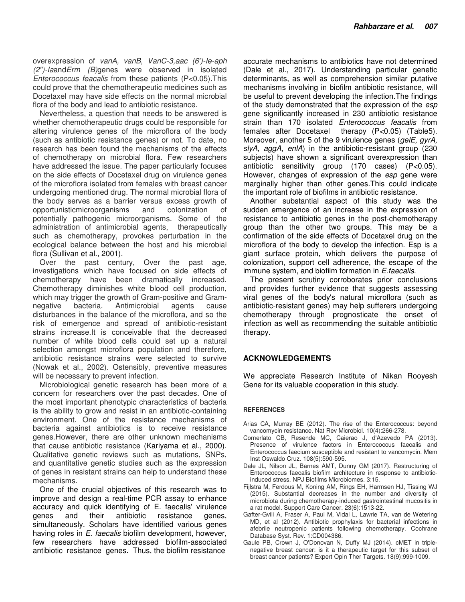overexpression of vanA, vanB, VanC-3,aac (6*′*)-Ie-aph (2*″*)-IaandErm (B)genes were observed in isolated Enterococcus feacalis from these patients (P<0.05).This could prove that the chemotherapeutic medicines such as Docetaxel may have side effects on the normal microbial flora of the body and lead to antibiotic resistance.

Nevertheless, a question that needs to be answered is whether chemotherapeutic drugs could be responsible for altering virulence genes of the microflora of the body (such as antibiotic resistance genes) or not. To date, no research has been found the mechanisms of the effects of chemotherapy on microbial flora. Few researchers have addressed the issue. The paper particularly focuses on the side effects of Docetaxel drug on virulence genes of the microflora isolated from females with breast cancer undergoing mentioned drug. The normal microbial flora of the body serves as a barrier versus excess growth of opportunisticmicroorganisms and colonization of potentially pathogenic microorganisms. Some of the administration of antimicrobial agents, therapeutically such as chemotherapy, provokes perturbation in the ecological balance between the host and his microbial flora (Sullivan et al., 2001).

Over the past century, Over the past age, investigations which have focused on side effects of chemotherapy have been dramatically increased. Chemotherapy diminishes white blood cell production, which may trigger the growth of Gram-positive and Gram-<br>negative bacteria. Antimicrobial agents cause negative bacteria. Antimicrobial disturbances in the balance of the microflora, and so the risk of emergence and spread of antibiotic-resistant strains increase.It is conceivable that the decreased number of white blood cells could set up a natural selection amongst microflora population and therefore, antibiotic resistance strains were selected to survive (Nowak et al., 2002). Ostensibly, preventive measures will be necessary to prevent infection.

Microbiological genetic research has been more of a concern for researchers over the past decades. One of the most important phenotypic characteristics of bacteria is the ability to grow and resist in an antibiotic-containing environment. One of the resistance mechanisms of bacteria against antibiotics is to receive resistance genes.However, there are other unknown mechanisms that cause antibiotic resistance (Kariyama et al., 2000). Qualitative genetic reviews such as mutations, SNPs, and quantitative genetic studies such as the expression of genes in resistant strains can help to understand these mechanisms.

One of the crucial objectives of this research was to improve and design a real-time PCR assay to enhance accuracy and quick identifying of E. faecalis' virulence genes and their antibiotic resistance genes, simultaneously. Scholars have identified various genes having roles in E. faecalis biofilm development, however, few researchers have addressed biofilm-associated antibiotic resistance genes. Thus, the biofilm resistance

accurate mechanisms to antibiotics have not determined (Dale et al., 2017). Understanding particular genetic determinants, as well as comprehension similar putative mechanisms involving in biofilm antibiotic resistance, will be useful to prevent developing the infection.The findings of the study demonstrated that the expression of the esp gene significantly increased in 230 antibiotic resistance strain than 170 isolated Enterococcus feacalis from females after Docetaxel therapy (P<0.05) (Table5). Moreover, another 5 of the 9 virulence genes (geIE, gyrA, slyA, aggA, enlA) in the antibiotic-resistant group (230 subjects) have shown a significant overexpression than antibiotic sensitivity group (170 cases) (P<0.05). However, changes of expression of the esp gene were marginally higher than other genes.This could indicate the important role of biofilms in antibiotic resistance.

Another substantial aspect of this study was the sudden emergence of an increase in the expression of resistance to antibiotic genes in the post-chemotherapy group than the other two groups. This may be a confirmation of the side effects of Docetaxel drug on the microflora of the body to develop the infection. Esp is a giant surface protein, which delivers the purpose of colonization, support cell adherence, the escape of the immune system, and biofilm formation in E.faecalis.

The present scrutiny corroborates prior conclusions and provides further evidence that suggests assessing viral genes of the body's natural microflora (such as antibiotic-resistant genes) may help sufferers undergoing chemotherapy through prognosticate the onset of infection as well as recommending the suitable antibiotic therapy.

# **ACKNOWLEDGEMENTS**

We appreciate Research Institute of Nikan Rooyesh Gene for its valuable cooperation in this study.

#### **REFERENCES**

- Arias CA, Murray BE (2012). The rise of the Enterococcus: beyond vancomycin resistance. Nat Rev Microbiol. 10(4):266-278.
- Comerlato CB, Resende MC, Caierao J, d'Azevedo PA (2013). Presence of virulence factors in Enterococcus faecalis and Enterococcus faecium susceptible and resistant to vancomycin. Mem Inst Oswaldo Cruz. 108(5):590-595.
- Dale JL, Nilson JL, Barnes AMT, Dunny GM (2017). Restructuring of Enterococcus faecalis biofilm architecture in response to antibioticinduced stress. NPJ Biofilms Microbiomes. 3:15.
- Fijlstra M, Ferdous M, Koning AM, Rings EH, Harmsen HJ, Tissing WJ (2015). Substantial decreases in the number and diversity of microbiota during chemotherapy-induced gastrointestinal mucositis in a rat model. Support Care Cancer. 23(6):1513-22.
- Gafter-Gvili A, Fraser A, Paul M, Vidal L, Lawrie TA, van de Wetering MD, et al (2012). Antibiotic prophylaxis for bacterial infections in afebrile neutropenic patients following chemotherapy. Cochrane Database Syst. Rev. 1:CD004386.
- Gaule PB, Crown J, O'Donovan N, Duffy MJ (2014). cMET in triplenegative breast cancer: is it a therapeutic target for this subset of breast cancer patients? Expert Opin Ther Targets. 18(9):999-1009.